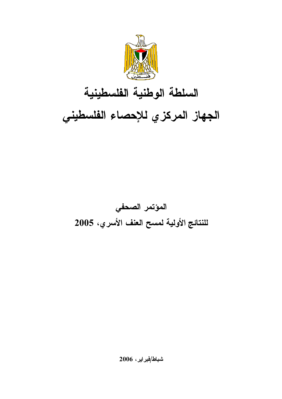

# السلطة الوطنية الفلسطينية الجهاز المركزي للإحصاء الفلسطيني

# المؤتمر الصحفي للنتائج الأولية لمسح العنف الأسري، 2005

شباط/فبراير، 2006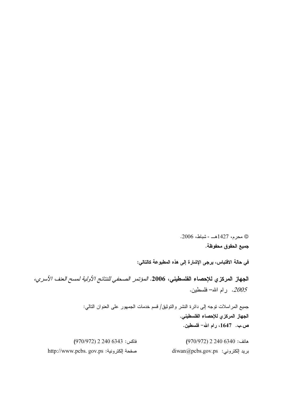© محرم، 1427هـــ - شباط، 2006. جميع الحقوق محفوظة.

في حالة الاقتباس، يرجى الإشارة إلى هذه المطبوعة كالتالي:

الجهاز المركزي للإحصاء الفلسطيني، 2006. *المؤتمر الصحفي للنتائج الأولية لمسح العنف الأسري،* 2005. رام الله– فلسطين.

> جميع المراسلات نوجه إلى دائرة النشر والنوثيق/ فسم خدمات الجمهور على العنوان النالبي: الجهاز المركزي للإحصاء الفلسطيني. ص.ب. 1647، رام الله- فلسطين.

هاتف: 6340 2 240 (970/972)  $(970/972)$  2 240  $6343$  :فاكس diwan@pcbs.gov.ps :بريد إلكتروني http://www.pcbs. gov.ps :أَكترونية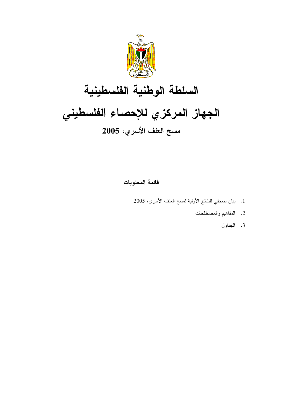

# السلطة الوطنية الفلسطينية الجهاز المركزي للإحصاء الفلسطيني مسح العنف الأسري، 2005

فائمة المحتويات

- 1. بيان صحفي للنتائج الأولية لمسح العنف الأسري، 2005
	- 2. المفاهيم والمصطلحات
		- 3. الجداول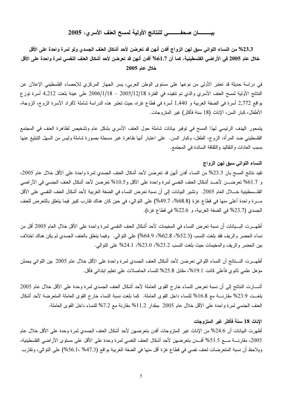#### 

23.3% من النساء اللواتي سبق لهن الزواج أفدن أنهن قد تعرضن لأحد أشكال العنف الجسدي ولو لمرة واحدة على الأقل خلال عام 2005 في الأراضي الفلسطينية، كما أن 1.7% أفدن أنهن قد تعرضن لأحد أشكال العنف النفسي لمرة واحدة على الأقل  $2005$  خلال عام

في دراسة حديثة قد تعتبر الأولى من نوعها على مستوى الوطن العربي، يسر الجهاز المركزي للإحصاء الفلسطيني الإعلان عن النتائج الأولية لمسح العنف الأسري والذي تم نتفيذه في الفترة 2005/12/18 – 2006/1/18 على عينة بلغت 4,212 أسرة نوزع بواقع 2,772 أسرة في الضفة الغربية و 1,440 أسرة في قطاع غزة، حيث تعتبر هذه الدراسة شاملة لأفراد الأسرة الزوج، الزوجة، الأطفال، كبار السن، الإناث (18 سنة فأكثر) غير المتزوجات.

يتمحور الهدف الرئيسي لهذا المسح في توفير بيانات شاملة حول العنف الأسري بشكل عام وتشخيص لظاهرة العنف في المجتمع الفلسطيني ضد المرأة، الزوج، الطفل، وكبار السن. على اعتبار أنها ظاهرة غير مسجلة بصورة شاملة وليس من السهل التبليغ عنها بسبب العادات والنقاليد والنقافة السائدة في المجتمع.

#### النساء اللواتي سبق لهن الزواج

نفيد نتائج المسح بان 23.3% من النساء أفدن أنهن قد تعرضن لأحد أشكال العنف الجسدي لمرة واحدة على الأقل خلال عام 2005، و 61.7% تعرضـــن لأحـــد أشكال العنف النفسي لمرة واحدة على الأقل و0.5% تعرضن لأحد أشكال العنف الجنسي في الأراضبي الفلــسطينية خــــلال العام 2005. وتشير البيانات إلى أن نسبة تعرض النساء في الضفة الغربية لأحد أشكال العنف النفسي على الأقل مــــرة واحدة أعلى منها في قطاع غزة (68.8%، 49.7%) على النوالي، في حين كان هناك نقارب كبير فيما يتعلق بالتعرض للعنف الجسدي (23.7% في الضفة الغربية، و 22.6% في قطاع غزة).

أظهـــرت البـــيانات أن نسبة تعرض النساء في المخيمات لأحد أشكال العنف النفسي لمرة واحدة على الأقل خلال العام 2005 أقل من نساء الحضر والريف فقد بلغت النسب (52.3%، 62.8%، 64.9%) على التوالي. وفيما يتعلق بالعنف الجسدي لم يكن هناك اختلاف بين الحضر والريف والمخيمات حيث بلغت النسب 23.2%، 23.0%، 24.1% على النوالي.

أظهـــرت النــــتائج أن النساء اللواتي تعرضن لأحد أشكال العنف الجسدي لمرة واحدة على الأقل خلال عام 2005 بين اللواتي يحملن مؤهل علمي ثانوي فأعلى كانت 19.1%، مقابل 25.8% للنساء الحاصلات على تعليم ابتدائي فأقل.

أشـــارت النتائج إلى أن نسبة تعرض النساء خارج القوى العاملة لأحد أشكال العنف الجسدى لمرة وحدة على الأقل خلال عام 2005 بلغــت 23.9% مقارنــــة مع 16.8% للنساء داخل القوى العاملة. كما بلغت نسبة النساء خارج القوى العاملة المتعرضة لأحد أشكال العنف الجنسي لمرة واحدة على الأقل خلال عام 2005 بمقدار 11.2% مقارنة مع 7.2% للنساء داخل القوى العاملة.

#### الإناث 18 سنة فأكثر غير المتزوجات

أظهرت البيانات أن 24.6% من الإناث غير المتزوجات أفدن بتعرضهن لأحد أشكال العنف الجسدي لمرة وحدة على الأقل خلال عام 2005، مقارنــــة مــــع 53.5% أفـــدن بتعرضـهن لأحد أشكال العنف النفسي لمرة وحدة على الأقل على مستوى الأراضـي الفلسطينية، ويلاحظ أن نسبة المتعرضات لعنف نفسي في قطاع غزة أقل منها في الضفة الغربية بواقع (47.3% 56.1%) على التوالي، وتقارب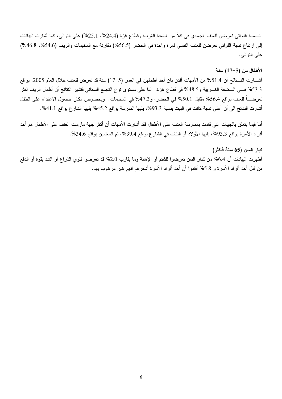نــــــــــــبة اللواتــى تعرضن للعنف الجسدي فـى كلاً من الضفة الغربية وقطاع غزة (24.4%، 25.1%) علـى النوالـي، كما أشارت الببيانات إلى ارتفاع نسبة اللواتي تعرضن للعنف النفسي لمرة واحدة في الحضر (56.5%) مقارنة مع المخيمات والريف (54.6%، 46.8%) على النوالبي.

#### الأطفال من (5–17) سنة

أشـــارت النـــتائج أن 51.4% من الأمهات أفدن بان أحد أطفالهن في العمر (5–17) سنة قد تعرض للعنف خلال العام 2005، بواقع 53.3% فـــي الـــضفة الغــــربية و48.5% في قطاع غزة. أما على مستوى نوع التجمع السكاني فتشير النتائج أن أطفال الريف اكثر تعرضــــاً للعنف بواقع 56.4% مقابل 50.1% في الحضر، و47.3% في المخيمات. وبخصوص مكان حصول الاعتداء على الطفل أشارت النتائج الى أن أعلى نسبة كانت في البيت بنسبة 93.3%، يليها المدرسة بواقع 45.2% يليها الشار ع بواقع 41.1%.

أما فيما يتعلق بالجهات التي قامت بممارسة العنف على الأطفال فقد أشارت الأمهات أن أكثر جهة مارست العنف على الأطفال هم أحد أفراد الأسرة بواقع 93.3%، يليها الأولاد أو البنات في الشارع بواقع 39.4%، ثم المعلمين بواقع 34.6%.

# كبار السن (65 سنة فاكثر)

أظهرت البيانات أن 6.4% من كبار السن تعرضوا للشتم أو الإهانة وما يقارب 2.0% قد تعرضوا للوي الذراع أو الشد بقوة أو الدفع من قبل أحد أفراد الأسرة و 5.8% أفادوا أن أحد أفراد الأسرة أشعرهم انهم غير مرغوب بهم.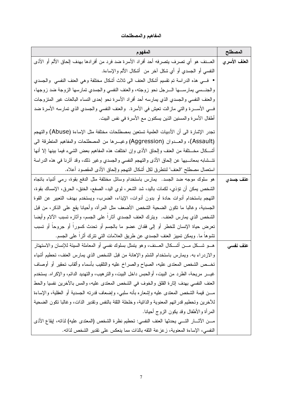المفاهيم والمصطلحات

| المفهوم                                                                                                | المصطلح      |
|--------------------------------------------------------------------------------------------------------|--------------|
| العـــنف هو أي تصرف يتصرفه أحد أفراد الأسرة ضد فرد من أفرادها بهدف إلحاق الألم أو الأذي                | العنف الأسري |
| النفسي أو الـجسدي أو أي شكل آخر من ۖ أشكال الألم والإساءة.                                             |              |
| • فــــي هذه الدراسة تم نقسيم أشكال العنف الـي ثلاث أشكال مختلفة وهـي العنف النفسـي  والـجسدي          |              |
| والجنـــسي يمارســــها الــــرجل نحو زوجته، والعنف النفسي والجسدي تمارسها الزوجة ضد زوجها،             |              |
| والعنف النفسى والجسدي الذي يمارسه أحد أفراد الأسرة نحو إحدى النساء البالغات غير المتزوجات              |              |
| فـــي الأســــرة والتـي مازالت تعيش فـي الأسرة.  والعنف النفسي والـجسدي الذي تمارسه الأسرة ضد          |              |
| أطفال الأسرة والمسنين الذين يسكنون مع الأسرة في نفس البيت.                                             |              |
| تجدر الإشارة الى أن الأدبيات العلمية تستعين بمصطلحات مختلفة مثل الإساءة (Abuse) والتهجم                |              |
| (Assault)، والعـــدوان (Aggression) وغيـــرها من المصطلحات والمفاهيم المنطرقة الـي                     |              |
| أشـــكال مخـــنلفة من العنف وإلحاق الأذى وإن اختلفت هذه المفاهيم بعض الشـيء فيمـا بينـها إلا أنـها     |              |
| تتـــشابـه بمعانـــــيها عن الٍحاق الأذى والتهجم النفسي والـجسدي وغير ذلك، وقد أثرنـا فـي هذه الدراسة  |              |
| اسنعمال مصطلح "العنف" لننطرق لكل أشكال النهجم وإلحاق الأذى المقصود أعلاه.                              |              |
| هو سلوك موجه ضد الجسد.  يمارس باستخدام وسائل مختلفة مثل الدفع بقوة، رمي أشياء باتجاه                   | عنف جسدي     |
| الشَّخص يمكن أن تؤذي، لكمات باليد، شد الشعر ، لوى اليد، الصفع، الخنق، الحرق، الإمساك بقوة،             |              |
| التهجم باستخدام أدوات حادة أو بدون أدوات، الإيذاء، الضرب، ويستخدم بهدف التعبير عن القوة                |              |
| الجسدية، وغالبًا ما نكون الضحية الشخص الأضعف مثل المرأة، وأحيانا يقع على الذكر، من قبل                 |              |
| الشخص الذي يمارس العنف. ويترك العنف الجسدي أثارًا على الجسم، وأثاره نسبب الآلام وأيضا                  |              |
| تعرض حياة الإنسان للخطر أو إلى فقدان عضو ما بالجسم أو تحدث كسورا أو جروحا أو تسبب                      |              |
| تشوها ما. ويمكن تمييز العنف الجسدي عن طريق العلامات التي نترك أثرًا على الجسم.                         |              |
| هـــو شـــكل مــــن أشــــكال الـعـــنف، وهو يتمثل بسلوك نفسي أو المعاملة السيئة للإنسان والاستهتار    | عنف نفسى     |
| والازدراء به. ويمارس باستخدام الشتم والإهانة من قبل الشخص الذي يمارس العنف، تحطيم أشياء                |              |
| تخــص الشخص المعتدى عليه، الصياح والصراخ عليه والنلقيب بأسماء وألقاب نحقير أو أوصاف                    |              |
| غيـــــر  مريـحة، الطرد من الببيت، أوالـحبس داخل الببيت، والنز هيب، والنـهديد الدائم، والإكراه. يستخدم |              |
| العنف النفسي بهدف إثارة القلق والخوف في الشخص المعتدى عليه، والمس بالآخرين نفسيا والحط                 |              |
| مــــن قيمة الشخص المعتدى عليه وإشعاره بأنه سلبـي، وإضـعاف قدرته الـجسدية أو العقلية، والإساءة         |              |
| للأخرين وتحطيم قدراتهم المعنوية والذانية، وخلخلة الثقة بالنفس ونقدير الذات، وغالبا نكون الضحية         |              |
| المرأة والأطفال وقد يكون الزوج أحيانا.                                                                 |              |
| مـــن الآثــــار التــــي يـحدثها العنف النفسي: تـحطيم نظرة الشخص (المعتدى عليه) لذاته، إيقاع الأذى    |              |
| النفسي، الإساءة المعنوية، زعزعة الثقه بالذات مما ينعكس على تقدير الشخص لذاته.                          |              |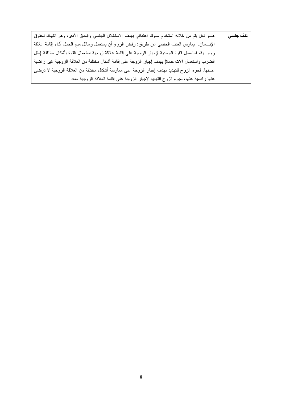| هـــو فعل يتم من خلاله استخدام سلوك اعتدائي بهدف الاستغلال الجنسي وإلحاق الأذى، وهو انتهاك لحقوق       | عنف جنسي |
|--------------------------------------------------------------------------------------------------------|----------|
| الإنــــسان.  يمارس الـعنف الـجنسـي عن طريق: رفض الزوج أن يستعمل وسائل منـع الـحمل أثناء إقامة علاقة   |          |
| زوجـــية، استعمال القوة الجسدية لإجبار الزوجة على إقامة علاقة زوجية استعمال القوة بأشكال مختلفة (مثل   |          |
| الضرب واستعمال ألات حادة) بهدف إجبار الزوجة على إقامة أشكال مختلفة من العلاقة الزوجية غير راضية        |          |
| عـــنـها، لـجوء الزوج للتهديد بـهدف إجبار الزوجة علـي ممارسة أشكال مختلفة من الـعلاقة الزوجية لا نرضـي |          |
| عنها راضية عنها، لجوء الزوج للتهديد لإجبار الزوجة على إقامة العلاقة الزوجية معه.                       |          |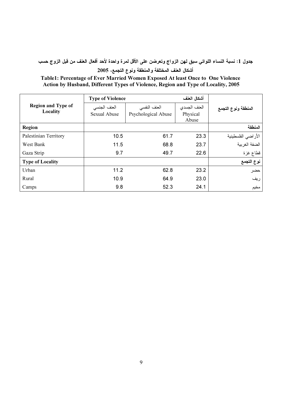جدول 1: نسبة النساء اللواتي سبق لهن الزواج وتعرضن على الأقل لمرة واحدة لأحد أفعال العنف من قبل الزوج حسب

# أشكال العلف المختلفة والمنطقة ونوع النجمع، 2005

### Table1: Percentage of Ever Married Women Exposed At least Once to One Violence Action by Husband, Different Types of Violence, Region and Type of Locality, 2005

|                           |              | أشكال العنف<br><b>Type of Violence</b> |                   |                     |
|---------------------------|--------------|----------------------------------------|-------------------|---------------------|
| <b>Region and Type of</b> | العنف الجنسى | العنف النفسي                           | العنف الجسدي      | المنطقة ونوع التجمع |
| Locality                  | Sexual Abuse | Psychological Abuse                    | Physical<br>Abuse |                     |
| Region                    |              |                                        |                   | المنطقة             |
| Palestinian Territory     | 10.5         | 61.7                                   | 23.3              | الأر اضي الفلسطينية |
| West Bank                 | 11.5         | 68.8                                   | 23.7              | الضفة الغربية       |
| Gaza Strip                | 9.7          | 49.7                                   | 22.6              | قطاع غزة            |
| <b>Type of Locality</b>   |              |                                        |                   | نوع التجمع          |
| Urban                     | 11.2         | 62.8                                   | 23.2              | حضر                 |
| Rural                     | 10.9         | 64.9                                   | 23.0              | ريف                 |
| Camps                     | 9.8          | 52.3                                   | 24.1              | مخيم                |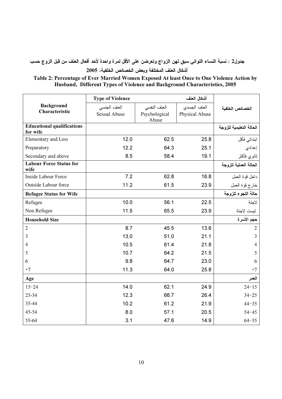جدول2 : نسبة النساء اللواتي سبق لهن الزواج وتعرضن على الأقل لمرة واحدة لأحد أفعال العنف من قبل الزوج حسب

أشكال العنف المختلفة وبعض الخصائص الخلفية، 2005

#### Table 2: Percentage of Ever Married Women Exposed At least Once to One Violence Action by Husband, Different Types of Violence and Background Characteristics, 2005

|                                        | <b>Type of Violence</b> |                        | أشكال العنف    |                         |
|----------------------------------------|-------------------------|------------------------|----------------|-------------------------|
| <b>Background</b><br>Characteristic    | العنف الجنسى            | العنف النفسي           | العنف الجسدى   | الخصائص الخلفية         |
|                                        | Sexual Abuse            | Psychological<br>Abuse | Physical Abuse |                         |
| <b>Educational qualifications</b>      |                         |                        |                | الحالة التعليمية للزوجة |
| for wife                               | 12.0                    | 62.5                   | 25.8           |                         |
| Elementary and Less                    |                         |                        |                | ابتدائى فأقل            |
| Preparatory                            | 12.2                    | 64.3                   | 25.1           | إعدادي                  |
| Secondary and above                    | 8.5                     | 58.4                   | 19.1           | ثانوي فأكثر             |
| <b>Labour Force Status for</b><br>wife |                         |                        |                | الحالة العملية للزوجة   |
| Inside Labour Force                    | 7.2                     | 62.8                   | 16.8           | داخل قوة العمل          |
| Outside Labour force                   | 11.2                    | 61.5                   | 23.9           | خارج قوة العمل          |
| <b>Refugee Status for Wife</b>         |                         |                        |                | حالة اللجوء للزوجة      |
| Refugee                                | 10.0                    | 56.1                   | 22.5           | لاجئة                   |
| Non Refugee                            | 11.5                    | 65.5                   | 23.9           | ليست لاجئة              |
| <b>Household Size</b>                  |                         |                        |                | حجم الأسرة              |
| $\overline{2}$                         | 8.7                     | 45.5                   | 13.6           | $\overline{2}$          |
| 3                                      | 13.0                    | 51.0                   | 21.1           | $\overline{3}$          |
| $\overline{4}$                         | 10.5                    | 61.4                   | 21.8           | $\overline{4}$          |
| 5                                      | 10.7                    | 64.2                   | 21.5           | 5                       |
| 6                                      | 9.8                     | 64.7                   | 23.0           | 6                       |
| $+7$                                   | 11.3                    | 64.0                   | 25.8           | $+7$                    |
| Age                                    |                         |                        |                | العمر                   |
| $15 - 24$                              | 14.0                    | 62.1                   | 24.9           | $24 - 15$               |
| 25-34                                  | 12.3                    | 66.7                   | 26.4           | $34 - 25$               |
| 35-44                                  | 10.2                    | 61.2                   | 21.9           | $44 - 35$               |
| 45-54                                  | 8.0                     | 57.1                   | 20.5           | $54 - 45$               |
| 55-64                                  | 3.1                     | 47.6                   | 14.9           | $64 - 55$               |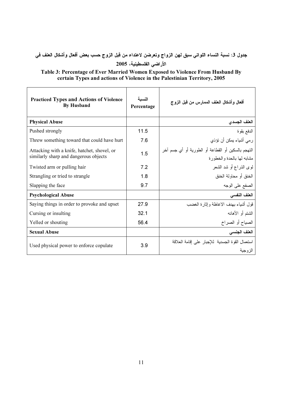# جدول 3: نسبة النساء اللواتي سبق لهن الزواج وتعرضن لاعتداء من قبل الزوج حسب بعض أفعال وأشكال العنف في الأراضي الفلسطينية، 2005

Table 3: Percentage of Ever Married Women Exposed to Violence From Husband By certain Types and actions of Violence in the Palestinian Territory, 2005

| <b>Practiced Types and Actions of Violence</b><br><b>By Husband</b>                  | النسىة<br>Percentage | أفعال وأشكال العنف الممارس من قبل الزوج                                            |
|--------------------------------------------------------------------------------------|----------------------|------------------------------------------------------------------------------------|
| <b>Physical Abuse</b>                                                                |                      | العلف الجسدى                                                                       |
| Pushed strongly                                                                      | 11.5                 | الدفع بقوة                                                                         |
| Threw something toward that could have hurt                                          | 7.6                  | رمي أشياء يمكن أن تؤذي                                                             |
| Attacking with a knife, hatchet, shovel, or<br>similarly sharp and dangerous objects | 1.5                  | النَّهجم بالسكين أو القطاعة أو الطورية أو أي جسم آخر<br>مشابه لمها بالحدة والخطورة |
| Twisted arm or pulling hair                                                          | 7.2                  | لوى الذراع أو شد الشعر                                                             |
| Strangling or tried to strangle                                                      | 1.8                  | الخنق أو محاولة الخنق                                                              |
| Slapping the face                                                                    | 9.7                  | الصفع على الوجه                                                                    |
| <b>Psychological Abuse</b>                                                           |                      | العنف النفسي                                                                       |
| Saying things in order to provoke and upset                                          | 27.9                 | قول أشياء بهدف الاغاظة وإثار ة الغضب                                               |
| Cursing or insulting                                                                 | 32.1                 | الشنتم أو الأهانـه                                                                 |
| Yelled or shouting                                                                   | 56.4                 | الصياح أو الصراخ                                                                   |
| <b>Sexual Abuse</b>                                                                  |                      | العنف الجنسى                                                                       |
| Used physical power to enforce copulate                                              | 3.9                  | استعمال القوة الجسدية للإجبار على إقامة العلاقة<br>الز و جبة                       |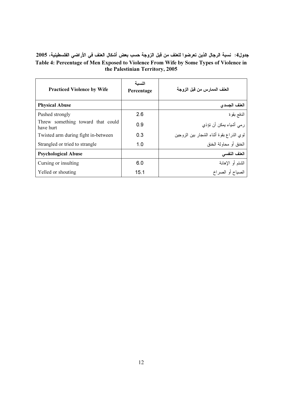### جدول4: نسبة الرجال الذين تعرضوا للعنف من قبل الزوجة حسب بعض أشكال العنف في الأراضي الفلسطينية، 2005 Table 4: Percentage of Men Exposed to Violence From Wife by Some Types of Violence in the Palestinian Territory, 2005

| <b>Practiced Violence by Wife</b>              | النسىة<br>Percentage | العنف الممارس من قبل الزوجة              |
|------------------------------------------------|----------------------|------------------------------------------|
| <b>Physical Abuse</b>                          |                      | العلف الجسدي                             |
| Pushed strongly                                | 2.6                  | الدفع بقوة                               |
| Threw something toward that could<br>have hurt | 0.9                  | رمي أشياء يمكن أن تؤذي                   |
| Twisted arm during fight in-between            | 0.3                  | لوى الذراع بقوة أنثاء الشجار بين الزوجين |
| Strangled or tried to strangle                 | 1.0                  | الخنق أو محاولة الخنق                    |
| <b>Psychological Abuse</b>                     |                      | العنف النفسي                             |
| Cursing or insulting                           | 6.0                  | الشتم أو الإهانة                         |
| Yelled or shouting                             | 15.1                 | الصياح أو الصر اخ                        |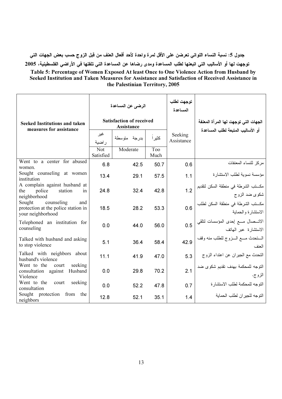جدول 5: نسبة النساء اللواتي تعرضن على الأقل لمرة واحدة لأحد أفعال العنف من قبل الزوج حسب بعض الجهات التي توجهت لـها أو الأساليب الني اتبعتها لطلب المساعدة ومدى رضاها عن المساعدة الني تلقتها في الأراضي الفلسطينية، 2005

Table 5: Percentage of Women Exposed At least Once to One Violence Action from Husband by Seeked Institution and Taken Measures for Assistance and Satisfaction of Received Assistance in the Palestinian Territory, 2005

|                                                                                         | الرضب عن المساعدة                             |              |             | توجهت لطلب<br>المساعدة |                                                                 |
|-----------------------------------------------------------------------------------------|-----------------------------------------------|--------------|-------------|------------------------|-----------------------------------------------------------------|
| Seeked Institutions and taken<br>measures for assistance                                | <b>Satisfaction of received</b><br>Assistance |              |             |                        | الجهات التي توجهت لها المرأة المعنفة                            |
|                                                                                         | غير<br>راضية                                  | بدرجة متوسطة | كثير ا      | Seeking<br>Assistance  | أو الأساليب المتبعة لطلب المساعدة                               |
|                                                                                         | Not<br>Satisfied                              | Moderate     | Too<br>Much |                        |                                                                 |
| Went to a center for abused<br>women.                                                   | 6.8                                           | 42.5         | 50.7        | 0.6                    | مركز للنساء المعنفات                                            |
| Sought counseling at women<br>institution                                               | 13.4                                          | 29.1         | 57.5        | 1.1                    | مؤسسة نسوية لطلب الاستشار ة                                     |
| A complain against husband at<br>station<br>police<br>the<br>in<br>neighborhood         | 24.8                                          | 32.4         | 42.8        | 1.2                    | مكـــتب الشرطة في منطقة السكن لتقديم<br>شکوی ضد الزوج           |
| Sought<br>counseling<br>and<br>protection at the police station in<br>your neighborhood | 18.5                                          | 28.2         | 53.3        | 0.6                    | مكــــتب الشرطة في منطقة السكن لطلب<br>الاستشارة والحماية       |
| Telephoned an institution for<br>counseling                                             | 0.0                                           | 44.0         | 56.0        | 0.5                    | الاتـــصـال مــــع إحدى المؤسسات لنلقي<br>الاستشارة عبر الـهاتف |
| Talked with husband and asking<br>to stop violence                                      | 5.1                                           | 36.4         | 58.4        | 42.9                   | الستحدث مسع السزوج للطلب منه وقف<br>العنف                       |
| Talked with neighbors about<br>husband's violence                                       | 11.1                                          | 41.9         | 47.0        | 5.3                    | التحدث مع الجيران عن اعتداء الزوج                               |
| Went to the<br>seeking<br>court<br>Husband<br>consultation against<br>Violence          | 0.0                                           | 29.8         | 70.2        | 2.1                    | التوجه للمحكمة بهدف نقديم شكوى ضد<br>الزوج.                     |
| Went to the<br>seeking<br>court<br>consultation                                         | 0.0                                           | 52.2         | 47.8        | 0.7                    | النوجه للمحكمة لطلب الاستشار ة                                  |
| Sought protection<br>from the<br>neighbors                                              | 12.8                                          | 52.1         | 35.1        | 1.4                    | التوجه للجير ان لطلب الحماية                                    |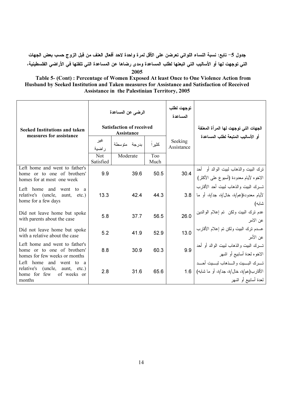جدول 5– تابع: نسبة النساء اللواتي تعرضن على الأقل لمرة واحدة لاحد أفعال العنف من قبل الزوج حسب بعض الجهات التي توجهت لها أو الاساليب التي اتبعتها لطلب المساعدة ومدى رضاها عن المساعدة التي تلقتها في الاراضي الفلسطينيه، 2005

Table 5- (Cont) : Percentage of Women Exposed At least Once to One Violence Action from Husband by Seeked Institution and Taken measures for Assistance and Satisfaction of Received Assistance in the Palestinian Territory, 2005

|                                                                                                                   |                  | الرضى عن المساعدة                             |                         | توجهت لطلب<br>المساعدة |                                                                                                   |  |
|-------------------------------------------------------------------------------------------------------------------|------------------|-----------------------------------------------|-------------------------|------------------------|---------------------------------------------------------------------------------------------------|--|
| <b>Seeked Institutions and taken</b><br>measures for assistance                                                   |                  | <b>Satisfaction of received</b><br>Assistance |                         |                        | الجهات التي توجهت لها المرأة المعنفة                                                              |  |
|                                                                                                                   | غير<br>ر اضبة    | بدرجة متوسطة                                  | کثیر ا                  | Seeking<br>Assistance  | أو الأساليب المتبعة لطلب المساعدة                                                                 |  |
|                                                                                                                   | Not<br>Satisfied | Moderate                                      | T <sub>oo</sub><br>Much |                        |                                                                                                   |  |
| Left home and went to father's<br>home or to one of brothers'<br>homes for at most one week                       | 9.9              | 39.6                                          | 50.5                    | 30.4                   | نزك البيت والذهاب لبيت الوالد أو أحد<br>الاخوه لأيام معدودة (أسبوع على الأكثر)                    |  |
| Left home<br>and<br>went<br>to<br>a<br>relative's (uncle,<br>aunt,<br>$etc.$ )<br>home for a few days             | 13.3             | 42.4                                          | 44.3                    | 3.8                    | تسرك البيت والذهاب لبيت أحد الأقارب<br>لأيام معدودة(عم/ة، خال/ة، جد/ة، أو ما<br>شابه)             |  |
| Did not leave home but spoke<br>with parents about the case                                                       | 5.8              | 37.7                                          | 56.5                    | 26.0                   | عدم نرك البيت ولكن   نم إعلام الوالدين<br>عن الامر<br>عن الامر                                    |  |
| Did not leave home but spoke<br>with a relative about the case                                                    | 5.2              | 41.9                                          | 52.9                    | 13.0                   | عــــدم نزك الببيت ولكن نم إعلام الأقارب<br>عن الأمر                                              |  |
| Left home and went to father's<br>home or to one of brothers'<br>homes for few weeks or months                    | 8.8              | 30.9                                          | 60.3                    | 9.9                    | تسرك الببيت والذهاب لببيت الوالد أو أحد<br>الاخوه لمعدة أسابيع أو اشهر                            |  |
| Left home and<br>went<br>to a<br>relative's (uncle,<br>aunt,<br>$etc.$ )<br>home for few<br>of weeks or<br>months | 2.8              | 31.6                                          | 65.6                    | 1.6                    | تسرك البسيت والسذهاب لبسيت أحسد<br>الأقارب(عم/ة، خال/ة، جد/ة، أو ما شابه)<br>لمعدة أسابيع أو اشهر |  |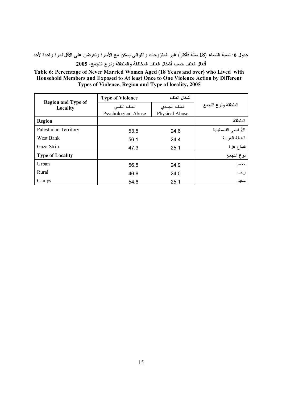جدول 6: نسبة النساء (18 سنة فأكثر) غير المتزوجات واللواتي يسكنَ مع الأسرة وتعرضن على الأقل لمرة واحدة لأحد أفعال العنف حسب أشكال العنف المختلفة والمنطقة ونوع التجمع، 2005

Table 6: Percentage of Never Married Women Aged (18 Years and over) who Lived with Household Members and Exposed to At least Once to One Violence Action by Different Types of Violence, Region and Type of locality, 2005

|                                       | <b>Type of Violence</b> | أشكال العنف    |                     |  |
|---------------------------------------|-------------------------|----------------|---------------------|--|
| <b>Region and Type of</b><br>Locality | العنف النفسي            | العنف الجسدى   | المنطقة ونوع التجمع |  |
|                                       | Psychological Abuse     | Physical Abuse |                     |  |
| Region                                |                         |                | المنطقة             |  |
| Palestinian Territory                 | 53.5                    | 24.6           | الأر اضي الفلسطينية |  |
| West Bank                             | 56.1                    | 24.4           | الضفة الغربية       |  |
| Gaza Strip                            | 47.3                    | 25.1           | قطاع غزة            |  |
| <b>Type of Locality</b>               |                         |                | نوع التجمع          |  |
| Urban                                 | 56.5                    | 24.9           | حضر                 |  |
| Rural                                 | 46.8                    | 24.0           | ريف                 |  |
| Camps                                 | 54.6                    | 25.1           | مخيم                |  |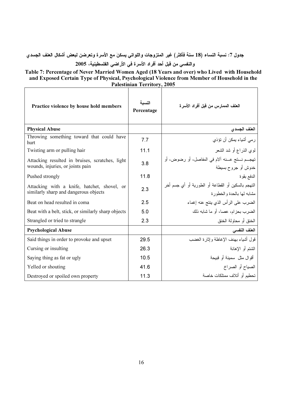جدول 7: نسبة النساء (18 سنة فأكثر) غير المتزوجات واللواتي يسكنَ مع الأسرة وتعرضن لبعض أشكال العنف الجسدي والنفسي من قبل أحد أفراد الأسرة في الأراضي الفلسطينية، 2005

Table 7: Percentage of Never Married Women Aged (18 Years and over) who Lived with Household and Exposed Certain Type of Physical, Psychological Violence from Member of Household in the Palestinian Territory, 2005  $\blacksquare$ 

| Practice violence by house hold members                                              | النسىه<br>Percentage | العنف الممارس من قبل أفراد الأسر ة                                                 |
|--------------------------------------------------------------------------------------|----------------------|------------------------------------------------------------------------------------|
| <b>Physical Abuse</b>                                                                |                      | العفف الجسدى                                                                       |
| Throwing something toward that could have<br>hurt                                    | 7.7                  | رمي أشياء يمكن أن تؤذي                                                             |
| Twisting arm or pulling hair                                                         | 11.1                 | لموى الذراع أو شد الشعر                                                            |
| Attacking resulted in bruises, scratches, light<br>wounds, injuries, or joints pain  | 3.8                  | تهجــم نـــتج عـــنه آلام في المفاصل، أو رضوض، أو<br>خدوش أو جروح بسيطة            |
| Pushed strongly                                                                      | 11.8                 | الدفع بقوة                                                                         |
| Attacking with a knife, hatchet, shovel, or<br>similarly sharp and dangerous objects | 2.3                  | النَّهجم بالسكين أو القطاعة أو الطورية أو أي جسم أخر<br>مشابه لمها بالحدة والخطورة |
| Beat on head resulted in coma                                                        | 2.5                  | الضرب على الرأس الذي ينتج عنه إغماء                                                |
| Beat with a belt, stick, or similarly sharp objects                                  | 5.0                  | الضرب بحزام، عصا، أو ما شابه ذلك                                                   |
| Strangled or tried to strangle                                                       | 2.3                  | الخنق أو محاولة الخنق                                                              |
| <b>Psychological Abuse</b>                                                           |                      | العنف النفسى                                                                       |
| Said things in order to provoke and upset                                            | 29.5                 | قول أشياء بهدف الإغاظة وإثار ة الغضب                                               |
| Cursing or insulting                                                                 | 26.3                 | الشنتم أو الإهانة                                                                  |
| Saying thing as fat or ugly                                                          | 10.5                 | أقوال مثل سمينة أو قبيحة                                                           |
| Yelled or shouting                                                                   | 41.6                 | الصياح أو الصراخ                                                                   |
| Destroyed or spoiled own property                                                    | 11.3                 | تحطيم أو أتلاف ممتلكات خاصة                                                        |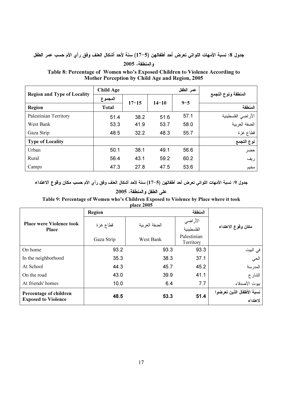# جدول 8: نسبة الأمهات اللواتي تعرض أحد أطفالهن (5–17) سنة لأحد أشكال العنف وفق رأي الأم حسب عمر الطفل

#### $2005$  والمنطقة،

Table 8: Percentage of Women who's Exposed Children to Violence According to Mother Perception by Child Age and Region, 2005

|                                    | <b>Child Age</b> |           |           | عمر الطفل |                     |
|------------------------------------|------------------|-----------|-----------|-----------|---------------------|
| <b>Region and Type of Locality</b> | المجموع          | $17 - 15$ | $14 - 10$ |           | المنطقة ونوع التجمع |
| Region                             | <b>Total</b>     |           |           | $9 - 5$   | المنطقة             |
| Palestinian Territory              | 51.4             | 38.2      | 51.6      | 57.1      | الأراضي الفلسطينية  |
| West Bank                          | 53.3             | 41.9      | 53.7      | 58.0      | الضفة الغربية       |
| Gaza Strip                         | 48.5             | 32.2      | 48.3      | 55.7      | قطاع غزة            |
| <b>Type of Locality</b>            |                  |           |           |           | نوع التجمع          |
| Urban                              | 50.1             | 38.1      | 49.1      | 56.6      | حضر                 |
| Rural                              | 56.4             | 43.1      | 59.2      | 60.2      | ريف                 |
| Camps                              | 47.3             | 27.8      | 47.5      | 53.6      | مخيم                |

جدول 9: نسبة الأمهات اللواتي تعرض أحد أطفالهن (5–17) سنة لأحد أشكال العنف وفق رأي الأم حسب مكان وقوع الاعتداء

# على الطفل والمنطقة، 2005

Table 9: Percentage of Women who's Children Exposed to Violence by Place where it took place 2005

|                                 | Region     |               |                          |                           |  |
|---------------------------------|------------|---------------|--------------------------|---------------------------|--|
| <b>Place were Violence took</b> | قطاع غزة   | الضفة الغربية | الأراضي                  | مكان وقوع الاعتداء        |  |
| <b>Place</b>                    |            |               | الفلسطينية               |                           |  |
|                                 | Gaza Strip | West Bank     | Palestinian<br>Territory |                           |  |
| On home                         | 93.2       | 93.3          | 93.3                     | في البيت                  |  |
| In the neighborhood             | 35.3       | 38.3          | 37.1                     | الحي                      |  |
| At School                       | 44.3       | 45.7          | 45.2                     | المدرسة                   |  |
| On the road                     | 43.0       | 39.9          | 41.1                     | الشارع                    |  |
| At friends' homes               | 10.0       | 6.4           | 7.7                      | بيوت الأصدقاء             |  |
| Percentage of children          | 48.5       |               | 51.4                     | نسبة الأطفال الذين تعرضوا |  |
| <b>Exposed to Violence</b>      |            | 53.3          |                          | لاعتداء                   |  |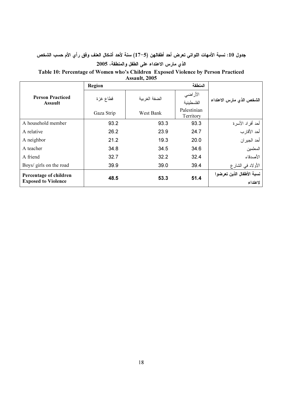جدول 10: نسبة الأمهات اللواتي تعرض أحد أطفالهن (5–17) سنة لأحد أشكال العنف وفق رأي الأم حسب الشخص الذي مارس الاعتداء على الطفل والمنطقة، 2005

#### Table 10: Percentage of Women who's Children Exposed Violence by Person Practiced

| Assault, 2005                                        |            |               |                          |                           |  |  |  |  |
|------------------------------------------------------|------------|---------------|--------------------------|---------------------------|--|--|--|--|
|                                                      | Region     |               | المنطقة                  |                           |  |  |  |  |
| <b>Person Practiced</b><br><b>Assault</b>            | قطاع غزة   |               | الأراضي                  |                           |  |  |  |  |
|                                                      |            | الضفة الغربية | الفلسطينية               | الشخص الذي مارس الاعتداء  |  |  |  |  |
|                                                      | Gaza Strip | West Bank     | Palestinian<br>Territory |                           |  |  |  |  |
| A household member                                   | 93.2       | 93.3          | 93.3                     | أحد أفراد الأسرة          |  |  |  |  |
| A relative                                           | 26.2       | 23.9          | 24.7                     | أحد الأقار ب              |  |  |  |  |
| A neighbor                                           | 21.2       | 19.3          | 20.0                     | أحد الجير ان              |  |  |  |  |
| A teacher                                            | 34.8       | 34.5          | 34.6                     | المعلمين                  |  |  |  |  |
| A friend                                             | 32.7       | 32.2          | 32.4                     | الأصدقاء                  |  |  |  |  |
| Boys/ girls on the road                              | 39.9       | 39.0          | 39.4                     | الأولاد في الشار ع        |  |  |  |  |
| Percentage of children<br><b>Exposed to Violence</b> | 48.5       | 53.3          | 51.4                     | نسبة الأطفال الذين تعرضوا |  |  |  |  |
|                                                      |            |               |                          | لاعتداء                   |  |  |  |  |